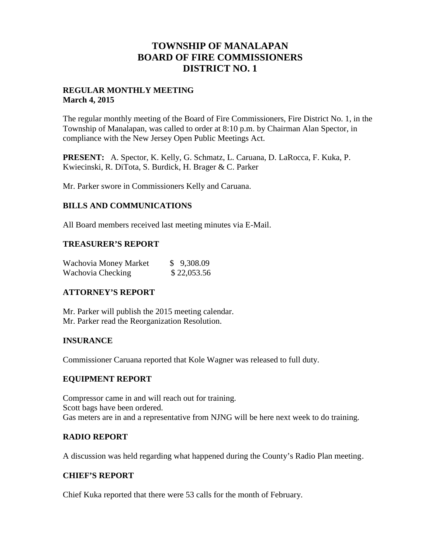## **TOWNSHIP OF MANALAPAN BOARD OF FIRE COMMISSIONERS DISTRICT NO. 1**

## **REGULAR MONTHLY MEETING March 4, 2015**

The regular monthly meeting of the Board of Fire Commissioners, Fire District No. 1, in the Township of Manalapan, was called to order at 8:10 p.m. by Chairman Alan Spector, in compliance with the New Jersey Open Public Meetings Act.

**PRESENT:** A. Spector, K. Kelly, G. Schmatz, L. Caruana, D. LaRocca, F. Kuka, P. Kwiecinski, R. DiTota, S. Burdick, H. Brager & C. Parker

Mr. Parker swore in Commissioners Kelly and Caruana.

### **BILLS AND COMMUNICATIONS**

All Board members received last meeting minutes via E-Mail.

### **TREASURER'S REPORT**

| Wachovia Money Market | \$9,308.09  |
|-----------------------|-------------|
| Wachovia Checking     | \$22,053.56 |

## **ATTORNEY'S REPORT**

Mr. Parker will publish the 2015 meeting calendar. Mr. Parker read the Reorganization Resolution.

### **INSURANCE**

Commissioner Caruana reported that Kole Wagner was released to full duty.

### **EQUIPMENT REPORT**

Compressor came in and will reach out for training. Scott bags have been ordered. Gas meters are in and a representative from NJNG will be here next week to do training.

## **RADIO REPORT**

A discussion was held regarding what happened during the County's Radio Plan meeting.

### **CHIEF'S REPORT**

Chief Kuka reported that there were 53 calls for the month of February.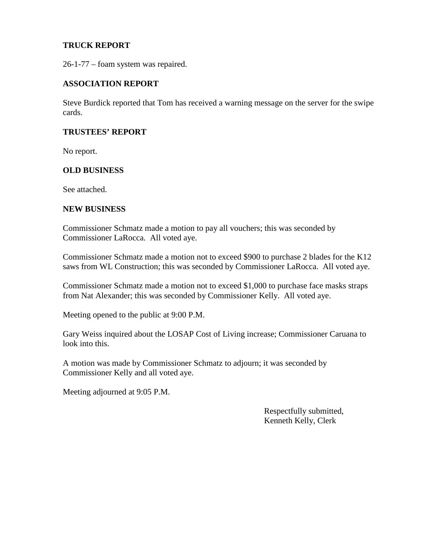## **TRUCK REPORT**

26-1-77 – foam system was repaired.

#### **ASSOCIATION REPORT**

Steve Burdick reported that Tom has received a warning message on the server for the swipe cards.

### **TRUSTEES' REPORT**

No report.

#### **OLD BUSINESS**

See attached.

#### **NEW BUSINESS**

Commissioner Schmatz made a motion to pay all vouchers; this was seconded by Commissioner LaRocca. All voted aye.

Commissioner Schmatz made a motion not to exceed \$900 to purchase 2 blades for the K12 saws from WL Construction; this was seconded by Commissioner LaRocca. All voted aye.

Commissioner Schmatz made a motion not to exceed \$1,000 to purchase face masks straps from Nat Alexander; this was seconded by Commissioner Kelly. All voted aye.

Meeting opened to the public at 9:00 P.M.

Gary Weiss inquired about the LOSAP Cost of Living increase; Commissioner Caruana to look into this.

A motion was made by Commissioner Schmatz to adjourn; it was seconded by Commissioner Kelly and all voted aye.

Meeting adjourned at 9:05 P.M.

Respectfully submitted, Kenneth Kelly, Clerk